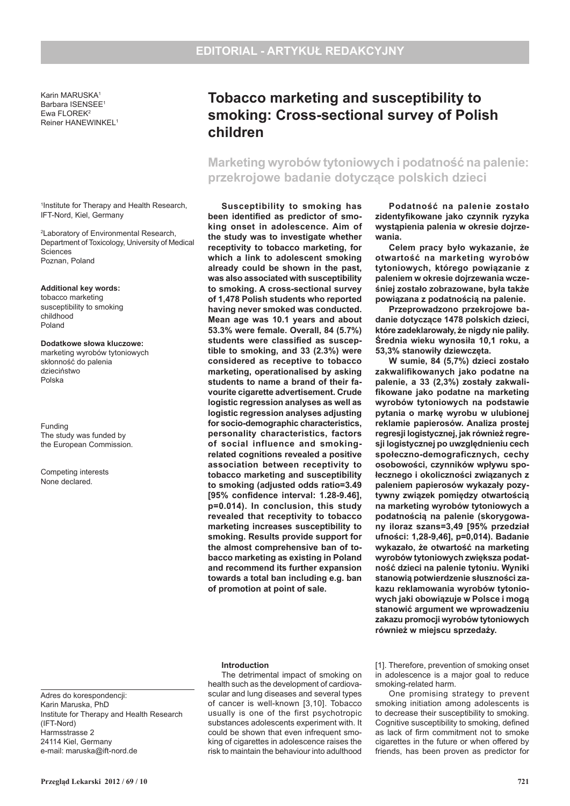Institute for Therapy and Health Research

Adres do korespondencji: Karin Maruska, PhD

(IFT-Nord) Harmsstrasse 2 24114 Kiel, Germany e-mail: maruska@ift-nord.de

Karin MARUSKA1 Barbara ISENSEE1 Ewa FLOREK2 Reiner HANEWINKEL1

1 Institute for Therapy and Health Research, IFT-Nord, Kiel, Germany

2 Laboratory of Environmental Research, Department of Toxicology, University of Medical Sciences Poznan, Poland

**Additional key words:** tobacco marketing susceptibility to smoking childhood Poland

**Dodatkowe słowa kluczowe:** marketing wyrobów tytoniowych skłonność do palenia dzieciństwo Polska

Funding The study was funded by the European Commission.

Competing interests None declared.

# **Tobacco marketing and susceptibility to smoking: Cross-sectional survey of Polish children**

## **Marketing wyrobów tytoniowych i podatność na palenie: przekrojowe badanie dotyczące polskich dzieci**

**Susceptibility to smoking has been identified as predictor of smoking onset in adolescence. Aim of the study was to investigate whether receptivity to tobacco marketing, for which a link to adolescent smoking already could be shown in the past, was also associated with susceptibility to smoking. A cross-sectional survey of 1,478 Polish students who reported having never smoked was conducted. Mean age was 10.1 years and about 53.3% were female. Overall, 84 (5.7%) students were classified as susceptible to smoking, and 33 (2.3%) were considered as receptive to tobacco marketing, operationalised by asking students to name a brand of their favourite cigarette advertisement. Crude logistic regression analyses as well as logistic regression analyses adjusting for socio-demographic characteristics, personality characteristics, factors of social influence and smokingrelated cognitions revealed a positive association between receptivity to tobacco marketing and susceptibility to smoking (adjusted odds ratio=3.49 [95% confidence interval: 1.28-9.46], p=0.014). In conclusion, this study revealed that receptivity to tobacco marketing increases susceptibility to smoking. Results provide support for the almost comprehensive ban of tobacco marketing as existing in Poland and recommend its further expansion towards a total ban including e.g. ban of promotion at point of sale.**

## **Introduction**

The detrimental impact of smoking on health such as the development of cardiovascular and lung diseases and several types of cancer is well-known [3,10]. Tobacco usually is one of the first psychotropic substances adolescents experiment with. It could be shown that even infrequent smoking of cigarettes in adolescence raises the risk to maintain the behaviour into adulthood

**Podatność na palenie zostało zidentyfikowane jako czynnik ryzyka wystąpienia palenia w okresie dojrzewania.**

**Celem pracy było wykazanie, że otwartość na marketing wyrobów tytoniowych, którego powiązanie z paleniem w okresie dojrzewania wcześniej zostało zobrazowane, była także powiązana z podatnością na palenie.**

**Przeprowadzono przekrojowe badanie dotyczące 1478 polskich dzieci, które zadeklarowały, że nigdy nie paliły. Średnia wieku wynosiła 10,1 roku, a 53,3% stanowiły dziewczęta.** 

**W sumie, 84 (5,7%) dzieci zostało zakwalifikowanych jako podatne na palenie, a 33 (2,3%) zostały zakwalifikowane jako podatne na marketing wyrobów tytoniowych na podstawie pytania o markę wyrobu w ulubionej reklamie papierosów. Analiza prostej regresji logistycznej, jak również regresji logistycznej po uwzględnieniu cech społeczno-demograficznych, cechy osobowości, czynników wpływu społecznego i okoliczności związanych z paleniem papierosów wykazały pozytywny związek pomiędzy otwartością na marketing wyrobów tytoniowych a podatnością na palenie (skorygowany iloraz szans=3,49 [95% przedział ufności: 1,28-9,46], p=0,014). Badanie wykazało, że otwartość na marketing wyrobów tytoniowych zwiększa podatność dzieci na palenie tytoniu. Wyniki stanowią potwierdzenie słuszności zakazu reklamowania wyrobów tytoniowych jaki obowiązuje w Polsce i mogą stanowić argument we wprowadzeniu zakazu promocji wyrobów tytoniowych również w miejscu sprzedaży.** 

[1]. Therefore, prevention of smoking onset in adolescence is a major goal to reduce smoking-related harm.

One promising strategy to prevent smoking initiation among adolescents is to decrease their susceptibility to smoking. Cognitive susceptibility to smoking, defined as lack of firm commitment not to smoke cigarettes in the future or when offered by friends, has been proven as predictor for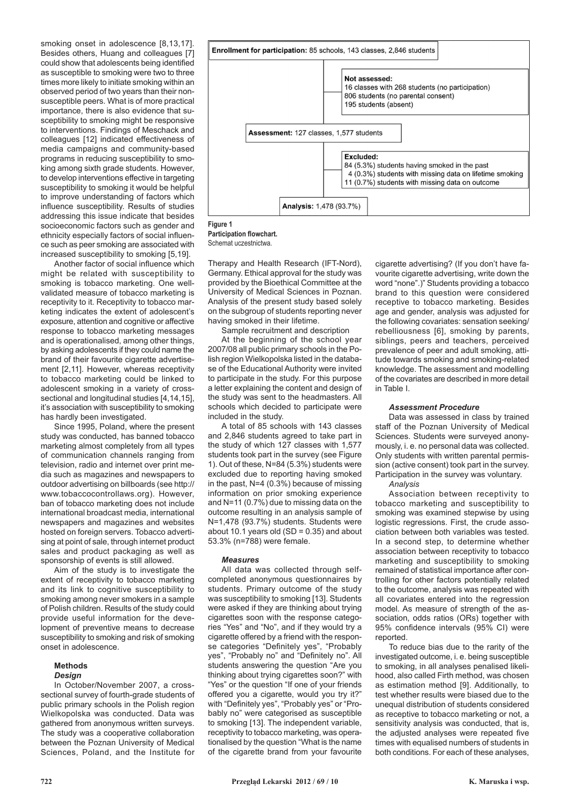smoking onset in adolescence [8,13,17]. Besides others, Huang and colleagues [7] could show that adolescents being identified as susceptible to smoking were two to three times more likely to initiate smoking within an observed period of two years than their nonsusceptible peers. What is of more practical importance, there is also evidence that susceptibility to smoking might be responsive to interventions. Findings of Meschack and colleagues [12] indicated effectiveness of media campaigns and community-based programs in reducing susceptibility to smoking among sixth grade students. However, to develop interventions effective in targeting susceptibility to smoking it would be helpful to improve understanding of factors which influence susceptibility. Results of studies addressing this issue indicate that besides socioeconomic factors such as gender and ethnicity especially factors of social influence such as peer smoking are associated with increased susceptibility to smoking [5,19].

Another factor of social influence which might be related with susceptibility to smoking is tobacco marketing. One wellvalidated measure of tobacco marketing is receptivity to it. Receptivity to tobacco marketing indicates the extent of adolescent's exposure, attention and cognitive or affective response to tobacco marketing messages and is operationalised, among other things, by asking adolescents if they could name the brand of their favourite cigarette advertisement [2,11]. However, whereas receptivity to tobacco marketing could be linked to adolescent smoking in a variety of crosssectional and longitudinal studies [4,14,15], it's association with susceptibility to smoking has hardly been investigated.

Since 1995, Poland, where the present study was conducted, has banned tobacco marketing almost completely from all types of communication channels ranging from television, radio and internet over print media such as magazines and newspapers to outdoor advertising on billboards (see http:// www.tobaccocontrollaws.org). However, ban of tobacco marketing does not include international broadcast media, international newspapers and magazines and websites hosted on foreign servers. Tobacco advertising at point of sale, through internet product sales and product packaging as well as sponsorship of events is still allowed.

Aim of the study is to investigate the extent of receptivity to tobacco marketing and its link to cognitive susceptibility to smoking among never smokers in a sample of Polish children. Results of the study could provide useful information for the development of preventive means to decrease susceptibility to smoking and risk of smoking onset in adolescence.

## **Methods**

*Design*

In October/November 2007, a crosssectional survey of fourth-grade students of public primary schools in the Polish region Wielkopolska was conducted. Data was gathered from anonymous written surveys. The study was a cooperative collaboration between the Poznan University of Medical Sciences, Poland, and the Institute for



**Figure 1 Participation flowchart.** Schemat uczestnictwa.

Therapy and Health Research (IFT-Nord), Germany. Ethical approval for the study was provided by the Bioethical Committee at the University of Medical Sciences in Poznan. Analysis of the present study based solely on the subgroup of students reporting never having smoked in their lifetime.

Sample recruitment and description At the beginning of the school year 2007/08 all public primary schools in the Polish region Wielkopolska listed in the database of the Educational Authority were invited to participate in the study. For this purpose a letter explaining the content and design of the study was sent to the headmasters. All

schools which decided to participate were included in the study. A total of 85 schools with 143 classes and 2,846 students agreed to take part in the study of which 127 classes with 1,577 students took part in the survey (see Figure 1). Out of these, N=84 (5.3%) students were excluded due to reporting having smoked in the past, N=4 (0.3%) because of missing information on prior smoking experience and N=11 (0.7%) due to missing data on the outcome resulting in an analysis sample of N=1,478 (93.7%) students. Students were about 10.1 years old  $(SD = 0.35)$  and about 53.3% (n=788) were female.

## *Measures*

All data was collected through selfcompleted anonymous questionnaires by students. Primary outcome of the study was susceptibility to smoking [13]. Students were asked if they are thinking about trying cigarettes soon with the response categories "Yes" and "No", and if they would try a cigarette offered by a friend with the response categories "Definitely yes", "Probably yes", "Probably no" and "Definitely no". All students answering the question "Are you thinking about trying cigarettes soon?" with "Yes" or the question "If one of your friends offered you a cigarette, would you try it?" with "Definitely yes", "Probably yes" or "Probably no" were categorised as susceptible to smoking [13]. The independent variable, receptivity to tobacco marketing, was operationalised by the question "What is the name of the cigarette brand from your favourite

cigarette advertising? (If you don't have favourite cigarette advertising, write down the word "none".)" Students providing a tobacco brand to this question were considered receptive to tobacco marketing. Besides age and gender, analysis was adjusted for the following covariates: sensation seeking/ rebelliousness [6], smoking by parents, siblings, peers and teachers, perceived prevalence of peer and adult smoking, attitude towards smoking and smoking-related knowledge. The assessment and modelling of the covariates are described in more detail in Table I.

## *Assessment Procedure*

Data was assessed in class by trained staff of the Poznan University of Medical Sciences. Students were surveyed anonymously, i. e. no personal data was collected. Only students with written parental permission (active consent) took part in the survey. Participation in the survey was voluntary.

*Analysis*

Association between receptivity to tobacco marketing and susceptibility to smoking was examined stepwise by using logistic regressions. First, the crude association between both variables was tested. In a second step, to determine whether association between receptivity to tobacco marketing and susceptibility to smoking remained of statistical importance after controlling for other factors potentially related to the outcome, analysis was repeated with all covariates entered into the regression model. As measure of strength of the association, odds ratios (ORs) together with 95% confidence intervals (95% CI) were reported.

To reduce bias due to the rarity of the investigated outcome, i. e. being susceptible to smoking, in all analyses penalised likelihood, also called Firth method, was chosen as estimation method [9]. Additionally, to test whether results were biased due to the unequal distribution of students considered as receptive to tobacco marketing or not, a sensitivity analysis was conducted, that is, the adjusted analyses were repeated five times with equalised numbers of students in both conditions. For each of these analyses,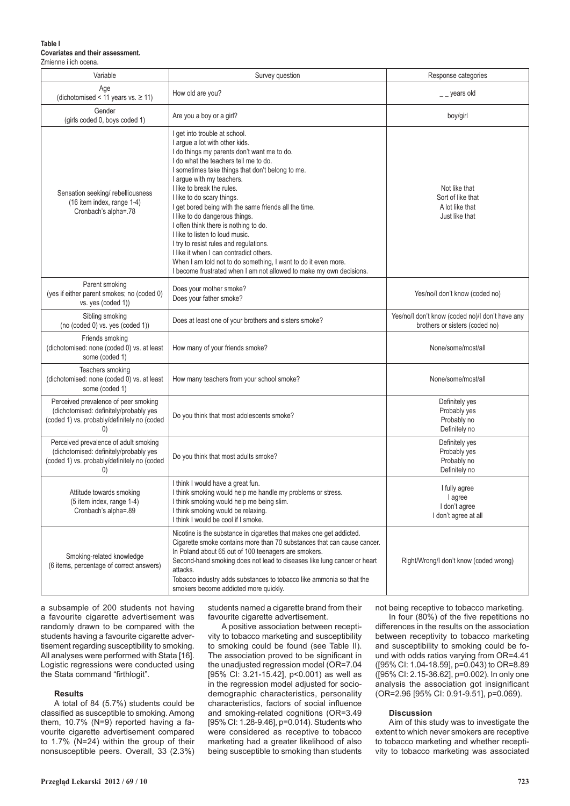#### **Table I Covariates and their assessment.** Zmienne i ich ocena.

| Variable                                                                                                                                            | Survey question                                                                                                                                                                                                                                                                                                                                                                                                                                                                                                                                                                                                                                                                                           | Response categories                                                               |  |
|-----------------------------------------------------------------------------------------------------------------------------------------------------|-----------------------------------------------------------------------------------------------------------------------------------------------------------------------------------------------------------------------------------------------------------------------------------------------------------------------------------------------------------------------------------------------------------------------------------------------------------------------------------------------------------------------------------------------------------------------------------------------------------------------------------------------------------------------------------------------------------|-----------------------------------------------------------------------------------|--|
| Age<br>(dichotomised < 11 years vs. $\geq$ 11)                                                                                                      | How old are you?                                                                                                                                                                                                                                                                                                                                                                                                                                                                                                                                                                                                                                                                                          | $-$ years old                                                                     |  |
| Gender<br>(girls coded 0, boys coded 1)                                                                                                             | Are you a boy or a girl?                                                                                                                                                                                                                                                                                                                                                                                                                                                                                                                                                                                                                                                                                  | boy/girl                                                                          |  |
| Sensation seeking/ rebelliousness<br>(16 item index, range 1-4)<br>Cronbach's alpha=.78                                                             | I get into trouble at school.<br>I argue a lot with other kids.<br>I do things my parents don't want me to do.<br>I do what the teachers tell me to do.<br>I sometimes take things that don't belong to me.<br>I argue with my teachers.<br>I like to break the rules.<br>I like to do scary things.<br>I get bored being with the same friends all the time.<br>I like to do dangerous things.<br>I often think there is nothing to do.<br>I like to listen to loud music.<br>I try to resist rules and regulations.<br>I like it when I can contradict others.<br>When I am told not to do something, I want to do it even more.<br>I become frustrated when I am not allowed to make my own decisions. | Not like that<br>Sort of like that<br>A lot like that<br>Just like that           |  |
| Parent smoking<br>(yes if either parent smokes; no (coded 0)<br>vs. yes (coded 1))                                                                  | Does your mother smoke?<br>Does your father smoke?                                                                                                                                                                                                                                                                                                                                                                                                                                                                                                                                                                                                                                                        | Yes/no/I don't know (coded no)                                                    |  |
| Sibling smoking<br>(no (coded 0) vs. yes (coded 1))                                                                                                 | Does at least one of your brothers and sisters smoke?                                                                                                                                                                                                                                                                                                                                                                                                                                                                                                                                                                                                                                                     | Yes/no/I don't know (coded no)/I don't have any<br>brothers or sisters (coded no) |  |
| Friends smoking<br>(dichotomised: none (coded 0) vs. at least<br>some (coded 1)                                                                     | How many of your friends smoke?                                                                                                                                                                                                                                                                                                                                                                                                                                                                                                                                                                                                                                                                           | None/some/most/all                                                                |  |
| Teachers smoking<br>(dichotomised: none (coded 0) vs. at least<br>some (coded 1)                                                                    | How many teachers from your school smoke?                                                                                                                                                                                                                                                                                                                                                                                                                                                                                                                                                                                                                                                                 | None/some/most/all                                                                |  |
| Perceived prevalence of peer smoking<br>(dichotomised: definitely/probably yes<br>(coded 1) vs. probably/definitely no (coded<br>(0)                | Do you think that most adolescents smoke?                                                                                                                                                                                                                                                                                                                                                                                                                                                                                                                                                                                                                                                                 | Definitely yes<br>Probably yes<br>Probably no<br>Definitely no                    |  |
| Perceived prevalence of adult smoking<br>(dichotomised: definitely/probably yes<br>(coded 1) vs. probably/definitely no (coded<br>$\left( 0\right)$ | Do you think that most adults smoke?                                                                                                                                                                                                                                                                                                                                                                                                                                                                                                                                                                                                                                                                      | Definitely yes<br>Probably yes<br>Probably no<br>Definitely no                    |  |
| Attitude towards smoking<br>(5 item index, range 1-4)<br>Cronbach's alpha=.89                                                                       | I think I would have a great fun.<br>I think smoking would help me handle my problems or stress<br>I think smoking would help me being slim.<br>I think smoking would be relaxing.<br>I think I would be cool if I smoke.                                                                                                                                                                                                                                                                                                                                                                                                                                                                                 | I fully agree<br>I agree<br>I don't agree<br>I don't agree at all                 |  |
| Smoking-related knowledge<br>(6 items, percentage of correct answers)                                                                               | Nicotine is the substance in cigarettes that makes one get addicted.<br>Cigarette smoke contains more than 70 substances that can cause cancer.<br>In Poland about 65 out of 100 teenagers are smokers.<br>Second-hand smoking does not lead to diseases like lung cancer or heart<br>attacks.<br>Tobacco industry adds substances to tobacco like ammonia so that the<br>smokers become addicted more quickly.                                                                                                                                                                                                                                                                                           | Right/Wrong/I don't know (coded wrong)                                            |  |

a subsample of 200 students not having a favourite cigarette advertisement was randomly drawn to be compared with the students having a favourite cigarette advertisement regarding susceptibility to smoking. All analyses were performed with Stata [16]. Logistic regressions were conducted using the Stata command "firthlogit".

## **Results**

A total of 84 (5.7%) students could be classified as susceptible to smoking. Among them, 10.7% (N=9) reported having a favourite cigarette advertisement compared to 1.7% (N=24) within the group of their nonsusceptible peers. Overall, 33 (2.3%) students named a cigarette brand from their favourite cigarette advertisement.

A positive association between receptivity to tobacco marketing and susceptibility to smoking could be found (see Table II). The association proved to be significant in the unadjusted regression model (OR=7.04 [95% CI: 3.21-15.42], p<0.001) as well as in the regression model adjusted for sociodemographic characteristics, personality characteristics, factors of social influence and smoking-related cognitions (OR=3.49 [95% CI: 1.28-9.46], p=0.014). Students who were considered as receptive to tobacco marketing had a greater likelihood of also being susceptible to smoking than students not being receptive to tobacco marketing.

In four (80%) of the five repetitions no differences in the results on the association between receptivity to tobacco marketing and susceptibility to smoking could be found with odds ratios varying from OR=4.41 ([95% CI: 1.04-18.59], p=0.043) to OR=8.89 ([95% CI: 2.15-36.62], p=0.002). In only one analysis the association got insignificant (OR=2.96 [95% CI: 0.91-9.51], p=0.069).

#### **Discussion**

Aim of this study was to investigate the extent to which never smokers are receptive to tobacco marketing and whether receptivity to tobacco marketing was associated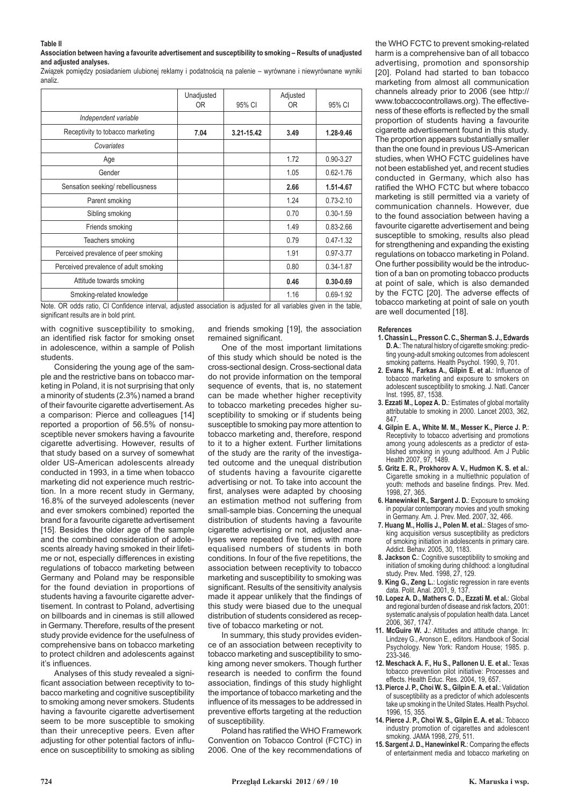#### **Table II**

**Association between having a favourite advertisement and susceptibility to smoking – Results of unadjusted and adjusted analyses.**

Związek pomiędzy posiadaniem ulubionej reklamy i podatnością na palenie – wyrównane i niewyrównane wyniki analiz.

|                                       | Unadjusted<br>0R | 95% CI     | Adjusted<br>0R | 95% CI        |
|---------------------------------------|------------------|------------|----------------|---------------|
|                                       |                  |            |                |               |
| Independent variable                  |                  |            |                |               |
| Receptivity to tobacco marketing      | 7.04             | 3.21-15.42 | 3.49           | 1.28-9.46     |
| Covariates                            |                  |            |                |               |
| Age                                   |                  |            | 1.72           | $0.90 - 3.27$ |
| Gender                                |                  |            | 1.05           | $0.62 - 1.76$ |
| Sensation seeking/rebelliousness      |                  |            | 2.66           | 1.51-4.67     |
| Parent smoking                        |                  |            | 1.24           | $0.73 - 2.10$ |
| Sibling smoking                       |                  |            | 0.70           | $0.30 - 1.59$ |
| Friends smoking                       |                  |            | 1.49           | $0.83 - 2.66$ |
| Teachers smoking                      |                  |            | 0.79           | $0.47 - 1.32$ |
| Perceived prevalence of peer smoking  |                  |            | 1.91           | $0.97 - 3.77$ |
| Perceived prevalence of adult smoking |                  |            | 0.80           | 0.34-1.87     |
| Attitude towards smoking              |                  |            | 0.46           | $0.30 - 0.69$ |
| Smoking-related knowledge             |                  |            | 1.16           | $0.69 - 1.92$ |

Note. OR odds ratio, CI Confidence interval, adjusted association is adjusted for all variables given in the table, significant results are in bold print.

with cognitive susceptibility to smoking, an identified risk factor for smoking onset in adolescence, within a sample of Polish students.

Considering the young age of the sample and the restrictive bans on tobacco marketing in Poland, it is not surprising that only a minority of students (2.3%) named a brand of their favourite cigarette advertisement. As a comparison: Pierce and colleagues [14] reported a proportion of 56.5% of nonsusceptible never smokers having a favourite cigarette advertising. However, results of that study based on a survey of somewhat older US-American adolescents already conducted in 1993, in a time when tobacco marketing did not experience much restriction. In a more recent study in Germany, 16.8% of the surveyed adolescents (never and ever smokers combined) reported the brand for a favourite cigarette advertisement [15]. Besides the older age of the sample and the combined consideration of adolescents already having smoked in their lifetime or not, especially differences in existing regulations of tobacco marketing between Germany and Poland may be responsible for the found deviation in proportions of students having a favourite cigarette advertisement. In contrast to Poland, advertising on billboards and in cinemas is still allowed in Germany. Therefore, results of the present study provide evidence for the usefulness of comprehensive bans on tobacco marketing to protect children and adolescents against it's influences.

Analyses of this study revealed a significant association between receptivity to tobacco marketing and cognitive susceptibility to smoking among never smokers. Students having a favourite cigarette advertisement seem to be more susceptible to smoking than their unreceptive peers. Even after adjusting for other potential factors of influence on susceptibility to smoking as sibling

and friends smoking [19], the association remained significant.

One of the most important limitations of this study which should be noted is the cross-sectional design. Cross-sectional data do not provide information on the temporal sequence of events, that is, no statement can be made whether higher receptivity to tobacco marketing precedes higher susceptibility to smoking or if students being susceptible to smoking pay more attention to tobacco marketing and, therefore, respond to it to a higher extent. Further limitations of the study are the rarity of the investigated outcome and the unequal distribution of students having a favourite cigarette advertising or not. To take into account the first, analyses were adapted by choosing an estimation method not suffering from small-sample bias. Concerning the unequal distribution of students having a favourite cigarette advertising or not, adjusted analyses were repeated five times with more equalised numbers of students in both conditions. In four of the five repetitions, the association between receptivity to tobacco marketing and susceptibility to smoking was significant. Results of the sensitivity analysis made it appear unlikely that the findings of this study were biased due to the unequal distribution of students considered as receptive of tobacco marketing or not.

In summary, this study provides evidence of an association between receptivity to tobacco marketing and susceptibility to smoking among never smokers. Though further research is needed to confirm the found association, findings of this study highlight the importance of tobacco marketing and the influence of its messages to be addressed in preventive efforts targeting at the reduction of susceptibility.

Poland has ratified the WHO Framework Convention on Tobacco Control (FCTC) in 2006. One of the key recommendations of the WHO FCTC to prevent smoking-related harm is a comprehensive ban of all tobacco advertising, promotion and sponsorship [20]. Poland had started to ban tobacco marketing from almost all communication channels already prior to 2006 (see http:// www.tobaccocontrollaws.org). The effectiveness of these efforts is reflected by the small proportion of students having a favourite cigarette advertisement found in this study. The proportion appears substantially smaller than the one found in previous US-American studies, when WHO FCTC guidelines have not been established yet, and recent studies conducted in Germany, which also has ratified the WHO FCTC but where tobacco marketing is still permitted via a variety of communication channels. However, due to the found association between having a favourite cigarette advertisement and being susceptible to smoking, results also plead for strengthening and expanding the existing regulations on tobacco marketing in Poland. One further possibility would be the introduction of a ban on promoting tobacco products at point of sale, which is also demanded by the FCTC [20]. The adverse effects of tobacco marketing at point of sale on youth are well documented [18].

#### **References**

- **1. Chassin L., Presson C. C., Sherman S. J., Edwards D. A.**: The natural history of cigarette smoking: predicting young-adult smoking outcomes from adolescent smoking patterns. Health Psychol. 1990, 9, 701.
- **2. Evans N., Farkas A., Gilpin E. et al.**: Influence of tobacco marketing and exposure to smokers on adolescent susceptibility to smoking. J. Natl. Cancer Inst. 1995, 87, 1538.
- **3. Ezzati M., Lopez A. D.**: Estimates of global mortality attributable to smoking in 2000. Lancet 2003, 362, 847.
- **4. Gilpin E. A., White M. M., Messer K., Pierce J. P.**: Receptivity to tobacco advertising and promotions among young adolescents as a predictor of established smoking in young adulthood. Am J Public Health 2007, 97, 1489.
- **5. Gritz E. R., Prokhorov A. V., Hudmon K. S. et al.**: Cigarette smoking in a multiethnic population of youth: methods and baseline findings. Prev. Med. 1998, 27, 365.
- **6. Hanewinkel R., Sargent J. D.**: Exposure to smoking in popular contemporary movies and youth smoking in Germany. Am. J. Prev. Med. 2007, 32, 466.
- **7. Huang M., Hollis J., Polen M. et al.**: Stages of smoking acquisition versus susceptibility as predictors of smoking initiation in adolescents in primary care. Addict. Behav. 2005, 30, 1183.
- **8. Jackson C.**: Cognitive susceptibility to smoking and initiation of smoking during childhood: a longitudinal study. Prev. Med. 1998, 27, 129.
- **9. King G., Zeng L.**: Logistic regression in rare events data. Polit. Anal. 2001, 9, 137.
- **10. Lopez A. D., Mathers C. D., Ezzati M. et al.**: Global and regional burden of disease and risk factors, 2001: systematic analysis of population health data. Lancet 2006, 367, 1747.
- **11. McGuire W. J.**: Attitudes and attitude change. In: Lindzey G., Aronson E., editors. Handbook of Social Psychology. New York: Random House; 1985. p. 233-346.
- **12. Meschack A. F., Hu S., Pallonen U. E. et al.**: Texas tobacco prevention pilot initiative: Processes and effects. Health Educ. Res. 2004, 19, 657.
- **13. Pierce J. P., Choi W. S., Gilpin E. A. et al.**: Validation of susceptibility as a predictor of which adolescents take up smoking in the United States. Health Psychol. 1996, 15, 355.
- **14. Pierce J. P., Choi W. S., Gilpin E. A. et al.**: Tobacco industry promotion of cigarettes and adolescent smoking. JAMA 1998, 279, 511.
- **15. Sargent J. D., Hanewinkel R.**: Comparing the effects of entertainment media and tobacco marketing on